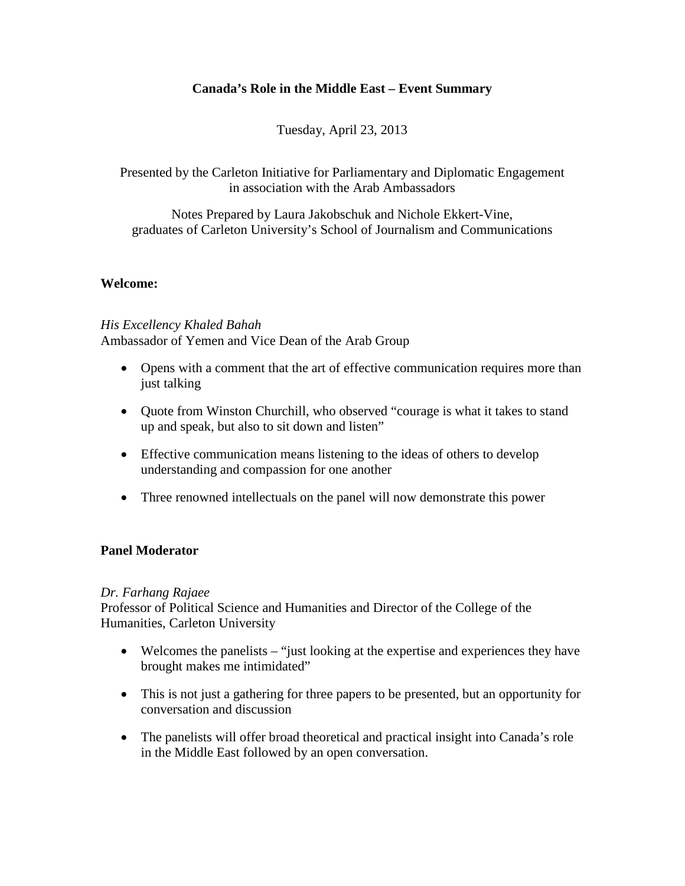### **Canada's Role in the Middle East – Event Summary**

Tuesday, April 23, 2013

Presented by the Carleton Initiative for Parliamentary and Diplomatic Engagement in association with the Arab Ambassadors

Notes Prepared by Laura Jakobschuk and Nichole Ekkert-Vine, graduates of Carleton University's School of Journalism and Communications

#### **Welcome:**

# *His Excellency Khaled Bahah*

Ambassador of Yemen and Vice Dean of the Arab Group

- Opens with a comment that the art of effective communication requires more than just talking
- Quote from Winston Churchill, who observed "courage is what it takes to stand up and speak, but also to sit down and listen"
- Effective communication means listening to the ideas of others to develop understanding and compassion for one another
- Three renowned intellectuals on the panel will now demonstrate this power

#### **Panel Moderator**

#### *Dr. Farhang Rajaee*

Professor of Political Science and Humanities and Director of the College of the Humanities, Carleton University

- Welcomes the panelists "just looking at the expertise and experiences they have brought makes me intimidated"
- This is not just a gathering for three papers to be presented, but an opportunity for conversation and discussion
- The panelists will offer broad theoretical and practical insight into Canada's role in the Middle East followed by an open conversation.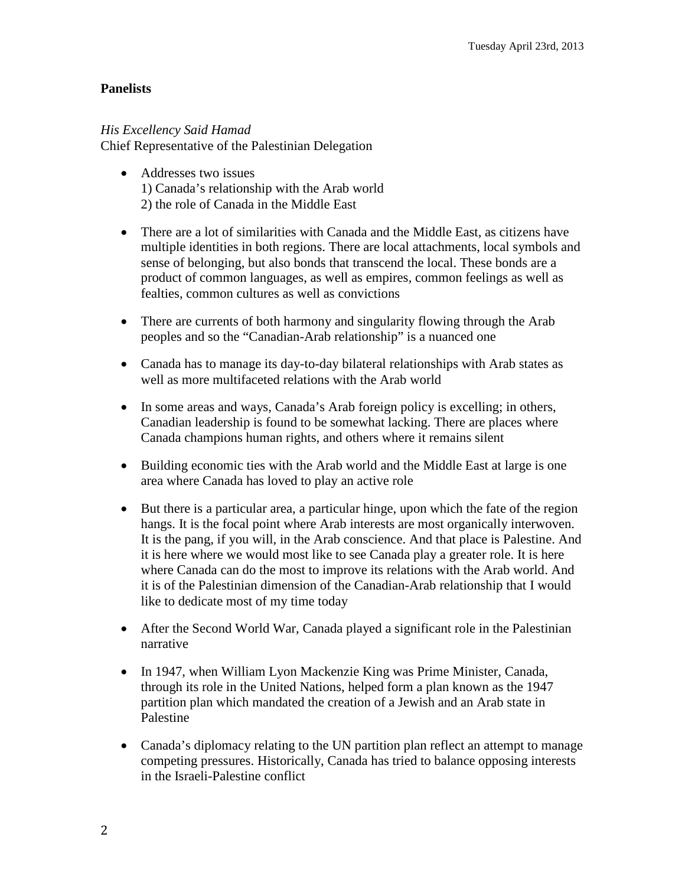# **Panelists**

## *His Excellency Said Hamad*

Chief Representative of the Palestinian Delegation

- Addresses two issues 1) Canada's relationship with the Arab world 2) the role of Canada in the Middle East
- There are a lot of similarities with Canada and the Middle East, as citizens have multiple identities in both regions. There are local attachments, local symbols and sense of belonging, but also bonds that transcend the local. These bonds are a product of common languages, as well as empires, common feelings as well as fealties, common cultures as well as convictions
- There are currents of both harmony and singularity flowing through the Arab peoples and so the "Canadian-Arab relationship" is a nuanced one
- Canada has to manage its day-to-day bilateral relationships with Arab states as well as more multifaceted relations with the Arab world
- In some areas and ways, Canada's Arab foreign policy is excelling; in others, Canadian leadership is found to be somewhat lacking. There are places where Canada champions human rights, and others where it remains silent
- Building economic ties with the Arab world and the Middle East at large is one area where Canada has loved to play an active role
- But there is a particular area, a particular hinge, upon which the fate of the region hangs. It is the focal point where Arab interests are most organically interwoven. It is the pang, if you will, in the Arab conscience. And that place is Palestine. And it is here where we would most like to see Canada play a greater role. It is here where Canada can do the most to improve its relations with the Arab world. And it is of the Palestinian dimension of the Canadian-Arab relationship that I would like to dedicate most of my time today
- After the Second World War, Canada played a significant role in the Palestinian narrative
- In 1947, when William Lyon Mackenzie King was Prime Minister, Canada, through its role in the United Nations, helped form a plan known as the 1947 partition plan which mandated the creation of a Jewish and an Arab state in Palestine
- Canada's diplomacy relating to the UN partition plan reflect an attempt to manage competing pressures. Historically, Canada has tried to balance opposing interests in the Israeli-Palestine conflict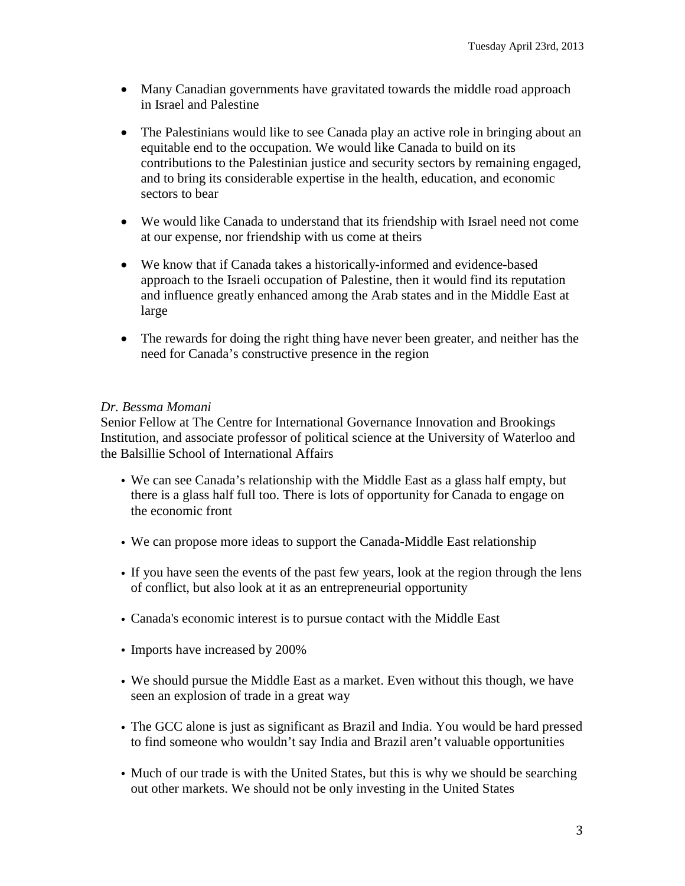- Many Canadian governments have gravitated towards the middle road approach in Israel and Palestine
- The Palestinians would like to see Canada play an active role in bringing about an equitable end to the occupation. We would like Canada to build on its contributions to the Palestinian justice and security sectors by remaining engaged, and to bring its considerable expertise in the health, education, and economic sectors to bear
- We would like Canada to understand that its friendship with Israel need not come at our expense, nor friendship with us come at theirs
- We know that if Canada takes a historically-informed and evidence-based approach to the Israeli occupation of Palestine, then it would find its reputation and influence greatly enhanced among the Arab states and in the Middle East at large
- The rewards for doing the right thing have never been greater, and neither has the need for Canada's constructive presence in the region

# *Dr. Bessma Momani*

Senior Fellow at The Centre for International Governance Innovation and Brookings Institution, and associate professor of political science at the University of Waterloo and the Balsillie School of International Affairs

- We can see Canada's relationship with the Middle East as a glass half empty, but there is a glass half full too. There is lots of opportunity for Canada to engage on the economic front
- We can propose more ideas to support the Canada-Middle East relationship
- If you have seen the events of the past few years, look at the region through the lens of conflict, but also look at it as an entrepreneurial opportunity
- Canada's economic interest is to pursue contact with the Middle East
- Imports have increased by 200%
- We should pursue the Middle East as a market. Even without this though, we have seen an explosion of trade in a great way
- The GCC alone is just as significant as Brazil and India. You would be hard pressed to find someone who wouldn't say India and Brazil aren't valuable opportunities
- Much of our trade is with the United States, but this is why we should be searching out other markets. We should not be only investing in the United States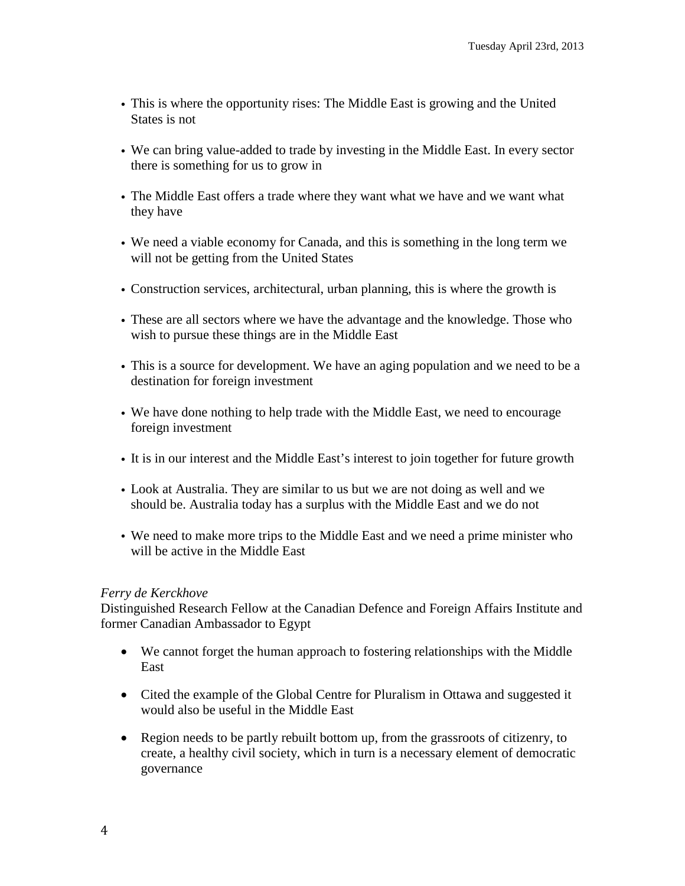- This is where the opportunity rises: The Middle East is growing and the United States is not
- We can bring value-added to trade by investing in the Middle East. In every sector there is something for us to grow in
- The Middle East offers a trade where they want what we have and we want what they have
- We need a viable economy for Canada, and this is something in the long term we will not be getting from the United States
- Construction services, architectural, urban planning, this is where the growth is
- These are all sectors where we have the advantage and the knowledge. Those who wish to pursue these things are in the Middle East
- This is a source for development. We have an aging population and we need to be a destination for foreign investment
- We have done nothing to help trade with the Middle East, we need to encourage foreign investment
- It is in our interest and the Middle East's interest to join together for future growth
- Look at Australia. They are similar to us but we are not doing as well and we should be. Australia today has a surplus with the Middle East and we do not
- We need to make more trips to the Middle East and we need a prime minister who will be active in the Middle East

#### *Ferry de Kerckhove*

Distinguished Research Fellow at the Canadian Defence and Foreign Affairs Institute and former Canadian Ambassador to Egypt

- We cannot forget the human approach to fostering relationships with the Middle East
- Cited the example of the Global Centre for Pluralism in Ottawa and suggested it would also be useful in the Middle East
- Region needs to be partly rebuilt bottom up, from the grassroots of citizenry, to create, a healthy civil society, which in turn is a necessary element of democratic governance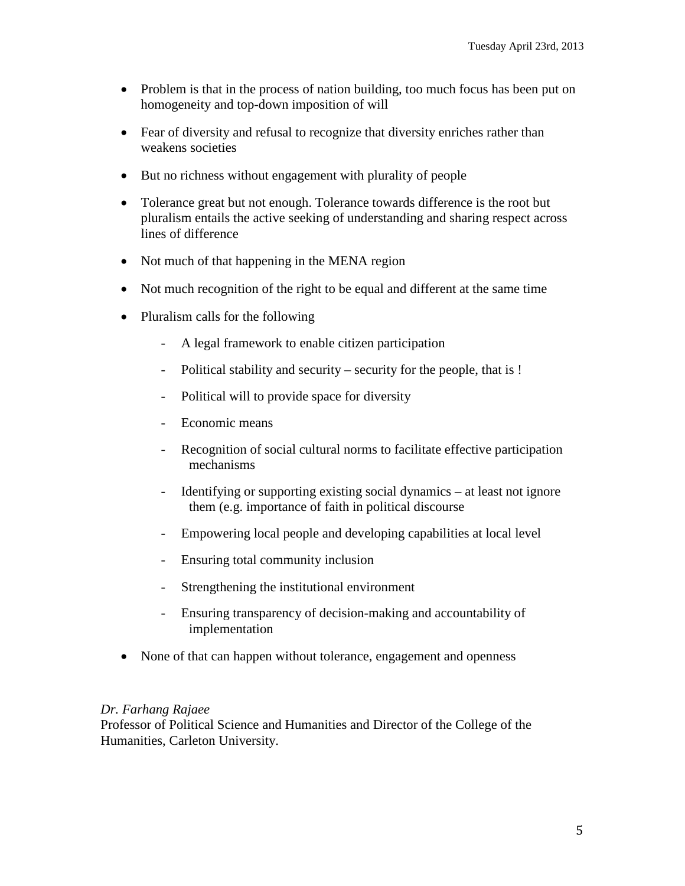- Problem is that in the process of nation building, too much focus has been put on homogeneity and top-down imposition of will
- Fear of diversity and refusal to recognize that diversity enriches rather than weakens societies
- But no richness without engagement with plurality of people
- Tolerance great but not enough. Tolerance towards difference is the root but pluralism entails the active seeking of understanding and sharing respect across lines of difference
- Not much of that happening in the MENA region
- Not much recognition of the right to be equal and different at the same time
- Pluralism calls for the following
	- A legal framework to enable citizen participation
	- Political stability and security security for the people, that is !
	- Political will to provide space for diversity
	- Economic means
	- Recognition of social cultural norms to facilitate effective participation mechanisms
	- Identifying or supporting existing social dynamics at least not ignore them (e.g. importance of faith in political discourse
	- Empowering local people and developing capabilities at local level
	- Ensuring total community inclusion
	- Strengthening the institutional environment
	- Ensuring transparency of decision-making and accountability of implementation
- None of that can happen without tolerance, engagement and openness

#### *Dr. Farhang Rajaee*

Professor of Political Science and Humanities and Director of the College of the Humanities, Carleton University.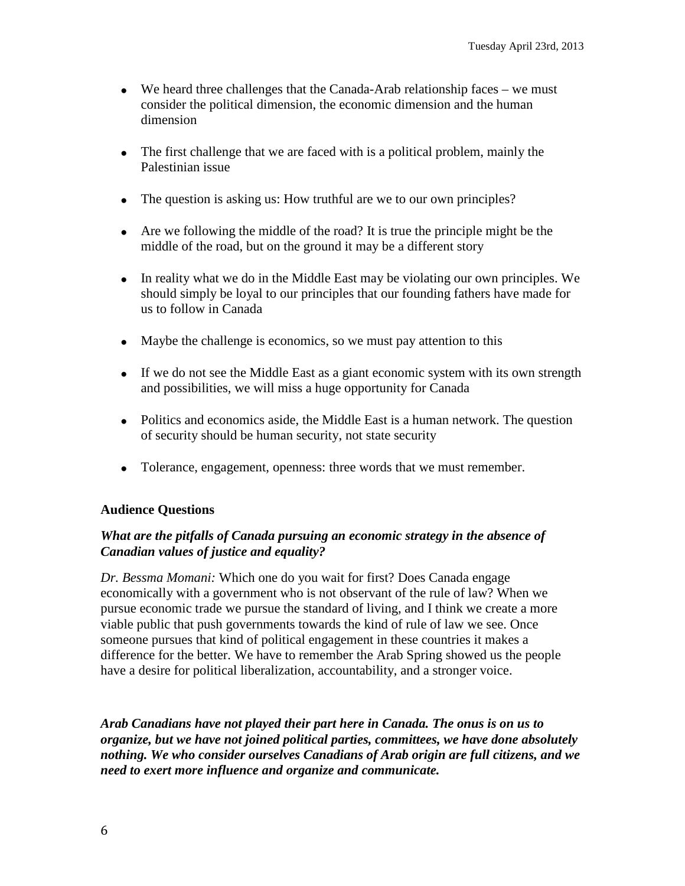- We heard three challenges that the Canada-Arab relationship faces we must consider the political dimension, the economic dimension and the human dimension
- The first challenge that we are faced with is a political problem, mainly the Palestinian issue
- The question is asking us: How truthful are we to our own principles?
- Are we following the middle of the road? It is true the principle might be the middle of the road, but on the ground it may be a different story
- In reality what we do in the Middle East may be violating our own principles. We should simply be loyal to our principles that our founding fathers have made for us to follow in Canada
- Maybe the challenge is economics, so we must pay attention to this
- If we do not see the Middle East as a giant economic system with its own strength and possibilities, we will miss a huge opportunity for Canada
- Politics and economics aside, the Middle East is a human network. The question of security should be human security, not state security
- Tolerance, engagement, openness: three words that we must remember.

#### **Audience Questions**

#### *What are the pitfalls of Canada pursuing an economic strategy in the absence of Canadian values of justice and equality?*

*Dr. Bessma Momani:* Which one do you wait for first? Does Canada engage economically with a government who is not observant of the rule of law? When we pursue economic trade we pursue the standard of living, and I think we create a more viable public that push governments towards the kind of rule of law we see. Once someone pursues that kind of political engagement in these countries it makes a difference for the better. We have to remember the Arab Spring showed us the people have a desire for political liberalization, accountability, and a stronger voice.

*Arab Canadians have not played their part here in Canada. The onus is on us to organize, but we have not joined political parties, committees, we have done absolutely nothing. We who consider ourselves Canadians of Arab origin are full citizens, and we need to exert more influence and organize and communicate.*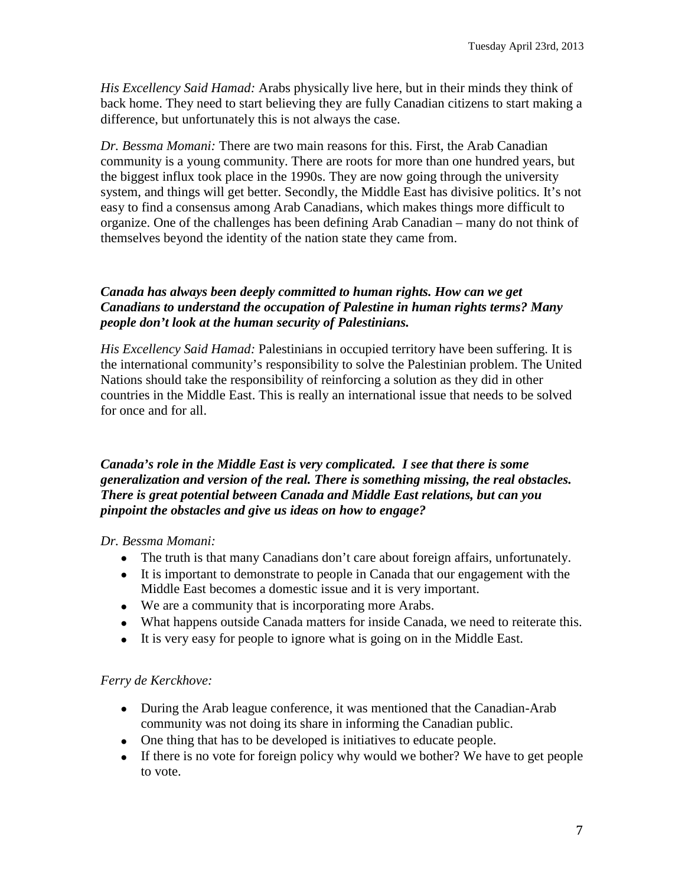*His Excellency Said Hamad:* Arabs physically live here, but in their minds they think of back home. They need to start believing they are fully Canadian citizens to start making a difference, but unfortunately this is not always the case.

*Dr. Bessma Momani:* There are two main reasons for this. First, the Arab Canadian community is a young community. There are roots for more than one hundred years, but the biggest influx took place in the 1990s. They are now going through the university system, and things will get better. Secondly, the Middle East has divisive politics. It's not easy to find a consensus among Arab Canadians, which makes things more difficult to organize. One of the challenges has been defining Arab Canadian – many do not think of themselves beyond the identity of the nation state they came from.

## *Canada has always been deeply committed to human rights. How can we get Canadians to understand the occupation of Palestine in human rights terms? Many people don't look at the human security of Palestinians.*

*His Excellency Said Hamad:* Palestinians in occupied territory have been suffering. It is the international community's responsibility to solve the Palestinian problem. The United Nations should take the responsibility of reinforcing a solution as they did in other countries in the Middle East. This is really an international issue that needs to be solved for once and for all.

#### *Canada's role in the Middle East is very complicated. I see that there is some generalization and version of the real. There is something missing, the real obstacles. There is great potential between Canada and Middle East relations, but can you pinpoint the obstacles and give us ideas on how to engage?*

*Dr. Bessma Momani:* 

- The truth is that many Canadians don't care about foreign affairs, unfortunately.
- It is important to demonstrate to people in Canada that our engagement with the Middle East becomes a domestic issue and it is very important.
- We are a community that is incorporating more Arabs.
- What happens outside Canada matters for inside Canada, we need to reiterate this.
- It is very easy for people to ignore what is going on in the Middle East.

## *Ferry de Kerckhove:*

- During the Arab league conference, it was mentioned that the Canadian-Arab community was not doing its share in informing the Canadian public.
- One thing that has to be developed is initiatives to educate people.
- If there is no vote for foreign policy why would we bother? We have to get people to vote.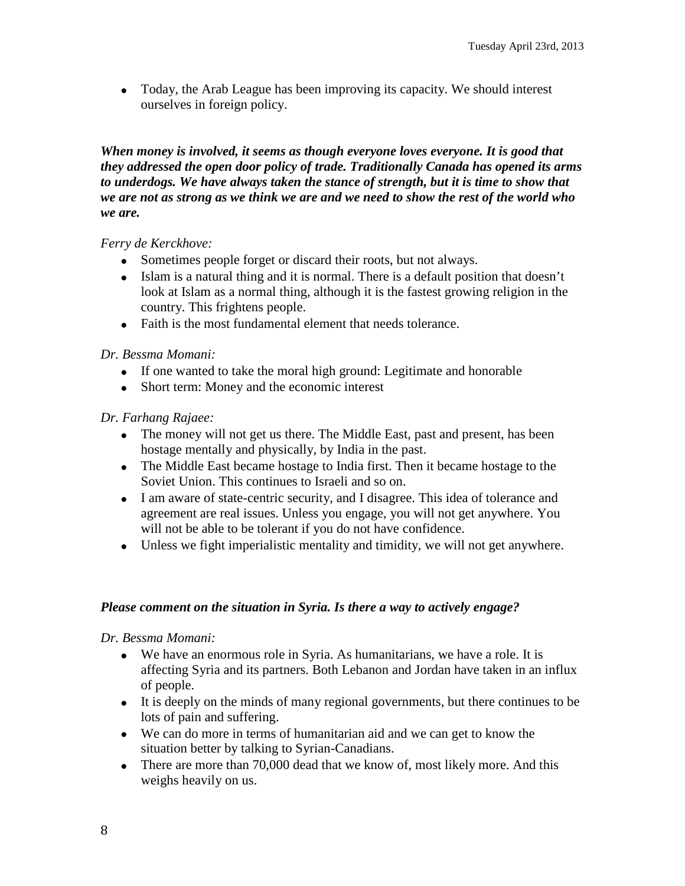• Today, the Arab League has been improving its capacity. We should interest ourselves in foreign policy.

*When money is involved, it seems as though everyone loves everyone. It is good that they addressed the open door policy of trade. Traditionally Canada has opened its arms to underdogs. We have always taken the stance of strength, but it is time to show that we are not as strong as we think we are and we need to show the rest of the world who we are.* 

*Ferry de Kerckhove:* 

- Sometimes people forget or discard their roots, but not always.
- Islam is a natural thing and it is normal. There is a default position that doesn't look at Islam as a normal thing, although it is the fastest growing religion in the country. This frightens people.
- Faith is the most fundamental element that needs tolerance.

*Dr. Bessma Momani:* 

- If one wanted to take the moral high ground: Legitimate and honorable
- Short term: Money and the economic interest

*Dr. Farhang Rajaee:*

- The money will not get us there. The Middle East, past and present, has been hostage mentally and physically, by India in the past.
- The Middle East became hostage to India first. Then it became hostage to the Soviet Union. This continues to Israeli and so on.
- I am aware of state-centric security, and I disagree. This idea of tolerance and agreement are real issues. Unless you engage, you will not get anywhere. You will not be able to be tolerant if you do not have confidence.
- Unless we fight imperialistic mentality and timidity, we will not get anywhere.

#### *Please comment on the situation in Syria. Is there a way to actively engage?*

*Dr. Bessma Momani:* 

- We have an enormous role in Syria. As humanitarians, we have a role. It is affecting Syria and its partners. Both Lebanon and Jordan have taken in an influx of people.
- It is deeply on the minds of many regional governments, but there continues to be lots of pain and suffering.
- We can do more in terms of humanitarian aid and we can get to know the situation better by talking to Syrian-Canadians.
- There are more than 70,000 dead that we know of, most likely more. And this weighs heavily on us.